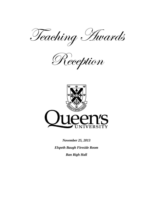Teaching Awards

Reception



*November 25, 2013*

*Elspeth Baugh Fireside Room Ban Righ Hall*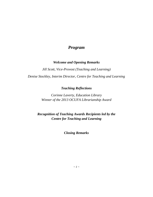# *Program*

## *Welcome and Opening Remarks*

*Jill Scott, Vice-Provost (Teaching and Learning) Denise Stockley, Interim Director, Centre for Teaching and Learning*

## *Teaching Reflections*

*Corinne Laverty, Education Library Winner of the 2013 OCUFA Librarianship Award*

*Recognition of Teaching Awards Recipients led by the Centre for Teaching and Learning*

*Closing Remarks*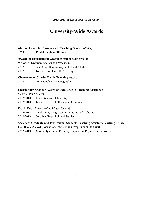# **University-Wide Awards**

## **Alumni Award for Excellence in Teaching** *(Alumni Affairs)*

2013 Daniel Lefebvre, Biology

## **Award for Excellence in Graduate Student Supervision**

*(School of Graduate Studies and Research)*

- 2012 Jean Cote, Kinesiology and Health Studies
- 2012 Kerry Rowe, Civil Engineering

## **Chancellor A. Charles Baillie Teaching Award**

2013 Anne Godlewska, Geography

## **Christopher Knapper Award of Excellence in Teaching Assistance**

*(Alma Mater Society)*

- 2012/2013 Mark Raycroft, Chemistry
- 2012/2013 Leanne Roderick, Enrichment Studies

## **Frank Knox Award** *(Alma Mater Society)*

- 2012/2013 Xuelin Bai, Languages, Literatures and Cultures
- 2012/2013 Jonathan Rose, Political Studies

## **Society of Graduate and Professional Students Teaching Assistant/Teaching Fellow**

**Excellence Award** *(Society of Graduate and Professional Students)*

2012/2013 Gwendolyn Eadie, Physics, Engineering Physics and Astromony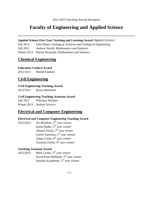# **Faculty of Engineering and Applied Science**

**Applied Science First Year Teaching and Learning Award** *(Applied Science)*

Fall 2012 John Hanes, Geological Sciences and Geological Engineering

Fall 2012 Andrew Hoefel, Mathematics and Statistics

Winter 2013 Patrick Reynolds, Mathematics and Statistics

## **Chemical Engineering**

## **Education Catalyst Award**

2012/2013 Hamid Falahati

# **Civil Engineering**

## **Civil Engineering Teaching Award**

2012/2013 Kevin Mumford

## **Civil Engineering Teaching Assistant Award**

Fall 2012 Nikolaus Wootten Winter 2013 Stefano Arcovio

# **Electrical and Computer Engineering**

## **Electrical and Computer Engineering Teaching Award**

2012/2013 Ali Moallem, *2 nd year winner* Karen Rudie, *2 nd year winner* Ahmad Afsahi, *3 rd year winner* Carlos Saavedra, *3 rd year winner* James Cordy, *4 th year winner* Germain Drolet, *4 th year winner*

## **Teaching Assistant Award**

2012/2013 Mark Godin, *2 nd year winner* Seyed Parsa Beheshti, *3 rd year winner*  Saruhan Karademir, *3 rd year winner*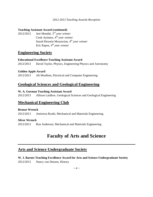#### **Teaching Assistant Award (continued)**

2012/2013 Jeet Mondal, *3 rd year winner* Cenk Aytimur, *4 th year winner*  Seyed Hossein Mousavian, *4 th year winner*  Eric Rapos, *4 th year winner* 

## **Engineering Society**

#### **Educational Excellence Teaching Assistant Award**

2012/2013 David Taylor, Physics, Engineering Physics and Astronomy

## **Golden Apple Award**

2012/2013 Ali Moallem, Electrical and Computer Engineering

## **Geological Sciences and Geological Engineering**

## **W. A. Gorman Teaching Assistant Award**

2012/2013 Allison Laidlow, Geological Sciences and Geological Engineering

## **Mechanical Engineering Club**

## **Bronze Wrench**

2012/2013 Amirreza Rouhi, Mechanical and Materials Engineering

## **Silver Wrench**

2012/2013 Ron Anderson, Mechanical and Materials Engineering

# **Faculty of Arts and Science**

## **Arts and Science Undergraduate Society**

**W. J. Barnes Teaching Excellence Award for Arts and Science Undergraduate Society** 2012/2013 Nancy van Deusen, History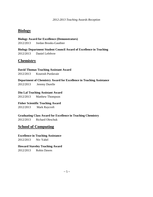# **Biology**

**Biology Award for Excellence (Demonstrators)** 2012/2013 Jordan Brooks-Gauthier

**Biology Department Student Council Award of Excellence in Teaching** 2012/2013 Daniel Lefebvre

# **Chemistry**

**David Thomas Teaching Assistant Award**

2012/2013 Kourosh Purdavaie

**Department of Chemistry Award for Excellence in Teaching Assistance**

2012/2013 Jeremy Durelle

**Din Lal Teaching Assistant Award**

2012/2013 Matthew Thompson

**Fisher Scientific Teaching Award**

2012/2013 Mark Raycroft

**Graduating Class Award for Excellence in Teaching Chemistry**

2012/2013 Richard Oleschuk

# **School of Computing**

**Excellence in Teaching Assistance** 2012/2013 Niv Yahel

**Howard Staveley Teaching Award**  2012/2013 Robin Dawes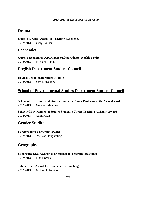# **Drama**

**Queen's Drama Award for Teaching Excellence** 2012/2013 Craig Walker

## **Economics**

**Queen's Economics Department Undergraduate Teaching Prize** 2012/2013 Michael Abbott

# **English Department Student Council**

**English Department Student Council** 2012/2013 Sam McKegney

# **School of Environmental Studies Department Student Council**

**School of Environmental Studies Student's Choice Professor of the Year Award** 2012/2013 Graham Whitelaw

**School of Environmental Studies Student's Choice Teaching Assistant Award** 2012/2013 Colin Khan

# **Gender Studies**

**Gender Studies Teaching Award** 

2012/2013 Melissa Houghtaling

# **Geography**

**Geography DSC Award for Excellence in Teaching Assistance** 2012/2013 Max Boreux

## **Julian Szeicz Award for Excellence in Teaching**

2012/2013 Melissa Lafreniere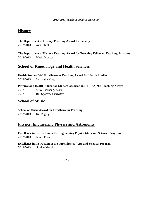# **History**

## **The Department of History Teaching Award for Faculty**

2012/2013 Ana Silijak

**The Department of History Teaching Award for Teaching Fellow or Teaching Assistant** 2012/2013 Maria Moncur

## **School of Kinesiology and Health Sciences**

**Health Studies DSC Excellence in Teaching Award for Health Studies** 

2012/2013 Samantha King

**Physical and Health Education Student Association (PHESA) '88 Teaching Award**

2012 Steve Fischer *(Theory)* 2012 Bill Sparrow *(Activities)*

# **School of Music**

**School of Music Award for Excellence in Teaching**  2012/2013 Kip Pegley

# **Physics, Engineering Physics and Astronomy**

**Excellence in Instruction in the Engineering Physics (Arts and Science) Program** 2012/2013 James Fraser

**Excellence in Instruction in the Pure Physics (Arts and Science) Program** 2012/2013 Jordan Morelli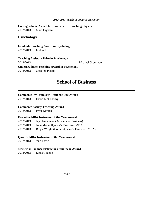**Undergraduate Award for Excellence in Teaching Physics** 2012/2013 Marc Dignam

## **Psychology**

**Graduate Teaching Award in Psychology** 2012/2013 Li-Jun Ji

**Teaching Assistant Prize in Psychology** 2012/2013 Michael Grossman **Undergraduate Teaching Award in Psychology**  2012/2013 Caroline Pukall

# **School of Business**

#### **Commerce '89 Professor – Student Life Award**

2012/2013 David McConomy

#### **Commerce Society Teaching Award**

2012/2013 Peter Kissick

#### **Executive MBA Instructor of the Year Award**

| 2012/2013 | Jay Handelman (Accelerated Business)         |
|-----------|----------------------------------------------|
| 2012/2013 | John Moore (Queen's Executive MBA)           |
| 2012/2013 | Roger Wright (Cornell-Queen's Executive MBA) |

#### **Queen's MBA Instructor of the Year Award**

2012/2013 Yuri Levin

## **Masters in Finance Instructor of the Year Award**

2012/2013 Louis Gagnon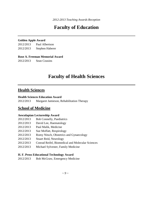# **Faculty of Education**

## **Golden Apple Award**

2012/2013 Paul Albertson 2012/2013 Stephen Haberer

## **Rose A. Freeman Memorial Award**

2012/2013 Sean Cousins

# **Faculty of Health Sciences**

# **Health Sciences**

## **Health Sciences Education Award**

2012/2013 Margaret Jamieson, Rehabilitation Therapy

# **School of Medicine**

## **Aesculapian Lectureship Award**

- 2012/2013 Bob Connelly, Paediatrics
- 2012/2013 David Lee, Haematology
- 2012/2013 Paul Malik, Medicine
- 2012/2013 Sue Moffatt, Respirology
- 2012/2013 Romy Nitsch, Obstetrics and Gynaecology
- 2012/2013 Stuart Reid, Neurology
- 2012/2013 Conrad Reifel, Biomedical and Molecular Sciences
- 2012/2013 Michael Sylvester, Family Medicine

## **H. F. Pross Educational Technology Award**

2012/2013 Bob McGraw, Emergency Medicine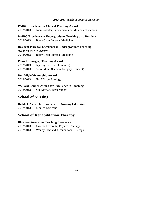## **PAIRO Excellence in Clinical Teaching Award**

2012/2013 John Rossiter, Biomedical and Molecular Sciences

## **PAIRO Excellence in Undergraduate Teaching by a Resident**

2012/2013 Barry Chan, Internal Medicine

## **Resident Prize for Excellence in Undergraduate Teaching**

*(Department of Surgery)* 2012/2013 Barry Chan, Internal Medicine

## **Phase III Surgery Teaching Award**

2012/2013 Jay Engel (General Surgery) 2012/2013 Steve Mann (General Surgery Resident)

## **Ron Wigle Mentorship Award**

2012/2013 Jim Wilson, Urology

## **W. Ford Connell Award for Excellence in Teaching**

2012/2013 Sue Moffatt, Respirology

# **School of Nursing**

## **Reddick Award for Excellence in Nursing Education**

2012/2013 Monica Larocque

## **School of Rehabilitation Therapy**

## **Blue Star Award for Teaching Excellence**

2012/2013 Graeme Leverette, Physical Therapy 2012/2013 Wendy Pentland, Occupational Therapy